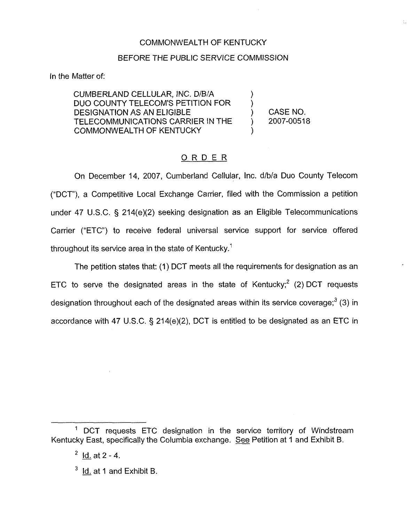### COMMONWEALTH OF KENTUCKY

#### BEFORE THE PUBLIC SERVICE COMMISSION

In the Matter of:

CUMBERLAND CELLULAR, INC. D/B/A DUO COUNTY TELECOM'S PETITION FOR DESIGNATION AS AN ELIGIBLE TELECOMMUNICATIONS CARRIER IN THE COMMONWEALTH OF KENTUCKY

) CASE NO. ) 2007-00518

)

)

)

### ORDER

On December 14, 2007, Cumberland Cellular, Inc. d/b/a Duo County Telecom ("DCT"), a Competitive Local Exchange Carrier, filed with the Commission a petition under 47 U.S.C.  $\S$  214(e)(2) seeking designation as an Eligible Telecommunications Carrier ("ETC") to receive federal universal service support for service offered throughout its service area in the state of Kentucky."

The petition states that: (1) DCT meets all the requirements for designation as an ETC to serve the designated areas in the state of Kentucky; $^2$  (2) DCT requests designation throughout each of the designated areas within its service coverage; $3$  (3) in accordance with 47 U.S.C.  $\S$  214(e)(2), DCT is entitled to be designated as an ETC in

<sup>&</sup>lt;sup>1</sup> DCT requests ETC designation in the service territory of Windstream Kentucky East, specifically the Columbia exchange. See Petition at <sup>1</sup> and Exhibit B.

 $2$  Id. at  $2 - 4$ .

 $3$  ld. at 1 and Exhibit B.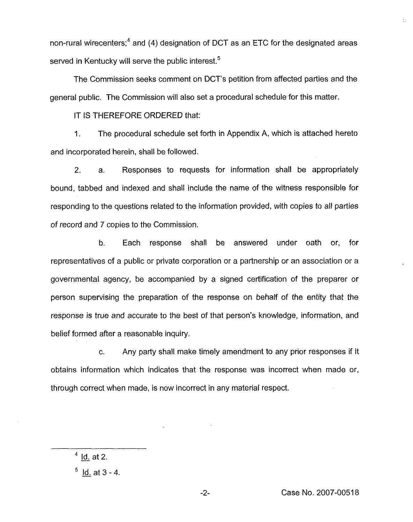non-rural wirecenters;<sup>4</sup> and (4) designation of DCT as an ETC for the designated areas served in Kentucky will serve the public interest.<sup>5</sup>

The Commission seeks comment on DCT's petition from affected parties and the general public. The Commission will also set a procedural schedule for this matter.

iT lS THEREFORE ORDERED that:

1. The procedural schedule set forth in Appendix A, which is attached hereto and incorporated herein, shall be followed.

2. a. Responses to requests for information shall be appropriately bound, tabbed and indexed and shall include the name of the witness responsible for responding to the questions related to the information provided, with copies to all parties of record and 7 copies to the Commission.

b, Each response shall be answered under oath or, for representatives of a public or private corporation or a partnership or an association or a governmental agency, be accompanied by a signed certification of the preparer or person supervising the preparation of the response on behalf of the entity that the response is true and accurate to the best of that person's knowledge, information, and belief formed after a reasonable inquiry.

c. Any party shall make timely amendment to any prior responses if it obtains information which indicates that the response was incorrect when made or, through correct when made, is now incorrect in any material respect.

 $4$  <u>Id.</u> at 2.

益

 $<sup>5</sup>$  Id. at 3 - 4.</sup>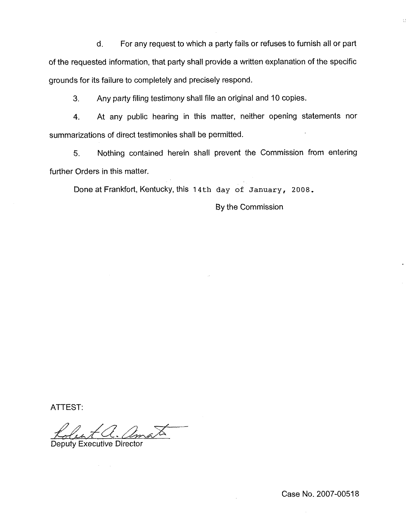d. For any request to which a party fails or refuses to furnish all or part of the requested information, that party shall provide a written explanation of the specific grounds for its failure to completely and precisely respond.

3. Any party filing testimony shall file an original and 10 copies.

4. At any public hearing in this matter, neither opening statements nor summarizations of direct testimonies shall be permitted.

5. Nothing contained herein shall prevent the Commission from entering further Orders in this matter.

Done at Frankfort, Kentucky, this <sup>1</sup> 4th day of January, 2OOS.

By the Commission

ATTEST:

Deputy Executive Director

 $\sim$ 

Đ.

Case No. 2007-00518